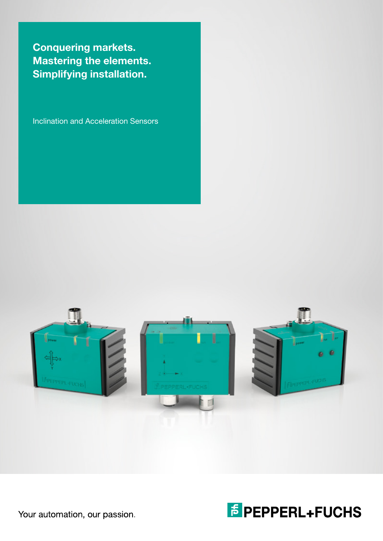Conquering markets. Mastering the elements. Simplifying installation.

Inclination and Acceleration Sensors





Your automation, our passion.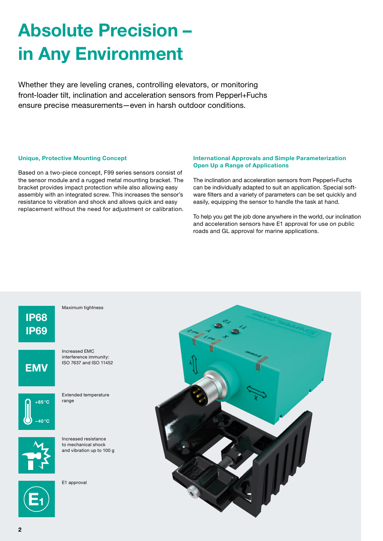## Absolute Precision – in Any Environment

Whether they are leveling cranes, controlling elevators, or monitoring front-loader tilt, inclination and acceleration sensors from Pepperl+Fuchs ensure precise measurements—even in harsh outdoor conditions.

#### Unique, Protective Mounting Concept

Based on a two-piece concept, F99 series sensors consist of the sensor module and a rugged metal mounting bracket. The bracket provides impact protection while also allowing easy assembly with an integrated screw. This increases the sensor's resistance to vibration and shock and allows quick and easy replacement without the need for adjustment or calibration.

#### International Approvals and Simple Parameterization Open Up a Range of Applications

The inclination and acceleration sensors from Pepperl+Fuchs can be individually adapted to suit an application. Special software filters and a variety of parameters can be set quickly and easily, equipping the sensor to handle the task at hand.

To help you get the job done anywhere in the world, our inclination and acceleration sensors have E1 approval for use on public roads and GL approval for marine applications.

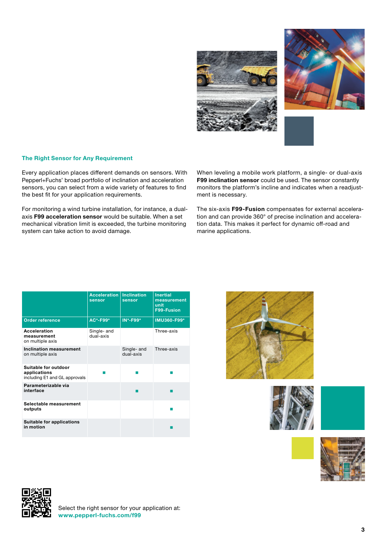



#### The Right Sensor for Any Requirement

Every application places different demands on sensors. With Pepperl+Fuchs' broad portfolio of inclination and acceleration sensors, you can select from a wide variety of features to find the best fit for your application requirements.

For monitoring a wind turbine installation, for instance, a dualaxis F99 acceleration sensor would be suitable. When a set mechanical vibration limit is exceeded, the turbine monitoring system can take action to avoid damage.

When leveling a mobile work platform, a single- or dual-axis F99 inclination sensor could be used. The sensor constantly monitors the platform's incline and indicates when a readjustment is necessary.

The six-axis F99-Fusion compensates for external acceleration and can provide 360° of precise inclination and acceleration data. This makes it perfect for dynamic off-road and marine applications.

|                                                                       | <b>Acceleration</b><br>sensor | <b>Inclination</b><br>sensor | <b>Inertial</b><br>measurement<br>unit<br>F99-Fusion |
|-----------------------------------------------------------------------|-------------------------------|------------------------------|------------------------------------------------------|
| <b>Order reference</b>                                                | AC*-F99*                      | <b>IN*-F99*</b>              | IMU360-F99*                                          |
| <b>Acceleration</b><br>measurement<br>on multiple axis                | Single- and<br>dual-axis      |                              | Three-axis                                           |
| <b>Inclination measurement</b><br>on multiple axis                    |                               | Single- and<br>dual-axis     | Three-axis                                           |
| Suitable for outdoor<br>applications<br>including E1 and GL approvals |                               |                              |                                                      |
| Parameterizable via<br>interface                                      |                               |                              |                                                      |
| Selectable measurement<br>outputs                                     |                               |                              |                                                      |
| <b>Suitable for applications</b><br>in motion                         |                               |                              |                                                      |









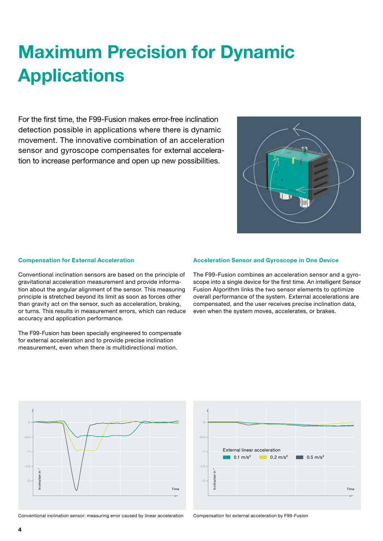## Maximum Precision for Dynamic **Applications**

For the first time, the F99-Fusion makes error-free inclination detection possible in applications where there is dynamic movement. The innovative combination of an acceleration sensor and gyroscope compensates for external acceleration to increase performance and open up new possibilities.



#### Compensation for External Acceleration

Conventional inclination sensors are based on the principle of gravitational acceleration measurement and provide information about the angular alignment of the sensor. This measuring principle is stretched beyond its limit as soon as forces other than gravity act on the sensor, such as acceleration, braking, or turns. This results in measurement errors, which can reduce accuracy and application performance.

The F99-Fusion has been specially engineered to compensate for external acceleration and to provide precise inclination measurement, even when there is multidirectional motion.

#### Acceleration Sensor and Gyroscope in One Device

The F99-Fusion combines an acceleration sensor and a gyroscope into a single device for the first time. An intelligent Sensor Fusion Algorithm links the two sensor elements to optimize overall performance of the system. External accelerations are compensated, and the user receives precise inclination data, even when the system moves, accelerates, or brakes.





Conventional inclination sensor: measuring error caused by linear acceleration Compensation for external acceleration by F99-Fusion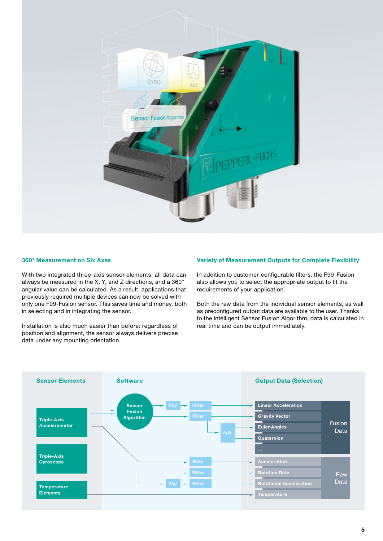

#### 360° Measurement on Six Axes

With two integrated three-axis sensor elements, all data can always be measured in the X, Y, and Z directions, and a 360° angular value can be calculated. As a result, applications that previously required multiple devices can now be solved with only one F99-Fusion sensor. This saves time and money, both in selecting and in integrating the sensor.

Installation is also much easier than before: regardless of position and alignment, the sensor always delivers precise data under any mounting orientation.

#### Variety of Measurement Outputs for Complete Flexibility

In addition to customer-configurable filters, the F99-Fusion also allows you to select the appropriate output to fit the requirements of your application.

Both the raw data from the individual sensor elements, as well as preconfigured output data are available to the user. Thanks to the intelligent Sensor Fusion Algorithm, data is calculated in real time and can be output immediately.

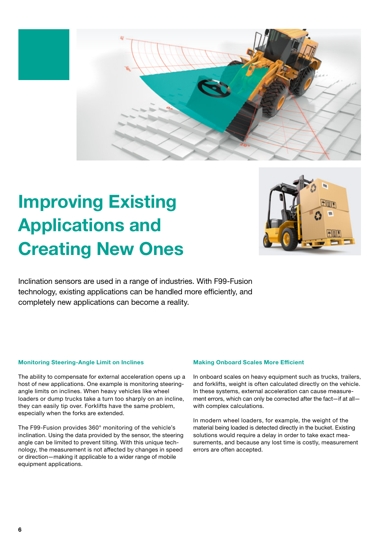

## Improving Existing Applications and Creating New Ones



Inclination sensors are used in a range of industries. With F99-Fusion technology, existing applications can be handled more efficiently, and completely new applications can become a reality.

#### Monitoring Steering-Angle Limit on Inclines

The ability to compensate for external acceleration opens up a host of new applications. One example is monitoring steeringangle limits on inclines. When heavy vehicles like wheel loaders or dump trucks take a turn too sharply on an incline, they can easily tip over. Forklifts have the same problem, especially when the forks are extended.

The F99-Fusion provides 360° monitoring of the vehicle's inclination. Using the data provided by the sensor, the steering angle can be limited to prevent tilting. With this unique technology, the measurement is not affected by changes in speed or direction—making it applicable to a wider range of mobile equipment applications.

#### Making Onboard Scales More Efficient

In onboard scales on heavy equipment such as trucks, trailers, and forklifts, weight is often calculated directly on the vehicle. In these systems, external acceleration can cause measurement errors, which can only be corrected after the fact—if at all with complex calculations.

In modern wheel loaders, for example, the weight of the material being loaded is detected directly in the bucket. Existing solutions would require a delay in order to take exact measurements, and because any lost time is costly, measurement errors are often accepted.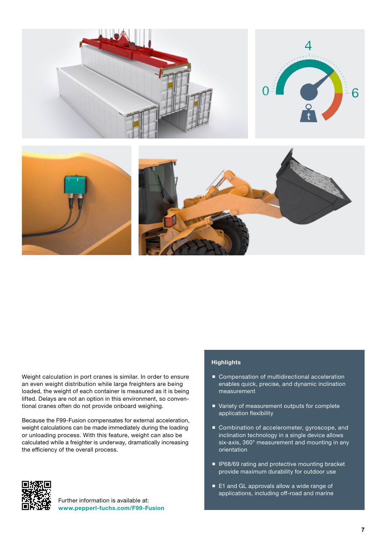

Weight calculation in port cranes is similar. In order to ensure an even weight distribution while large freighters are being loaded, the weight of each container is measured as it is being lifted. Delays are not an option in this environment, so conventional cranes often do not provide onboard weighing.

Because the F99-Fusion compensates for external acceleration, weight calculations can be made immediately during the loading or unloading process. With this feature, weight can also be calculated while a freighter is underway, dramatically increasing the efficiency of the overall process.

#### **Highlights**

- Compensation of multidirectional acceleration enables quick, precise, and dynamic inclination measurement
- Variety of measurement outputs for complete application flexibility
- Combination of accelerometer, gyroscope, and inclination technology in a single device allows six-axis, 360° measurement and mounting in any orientation
- **IF68/69 rating and protective mounting bracket** provide maximum durability for outdoor use
- E1 and GL approvals allow a wide range of applications, including off-road and marine



Further information is available at: www.pepperl-fuchs.com/F99-Fusion